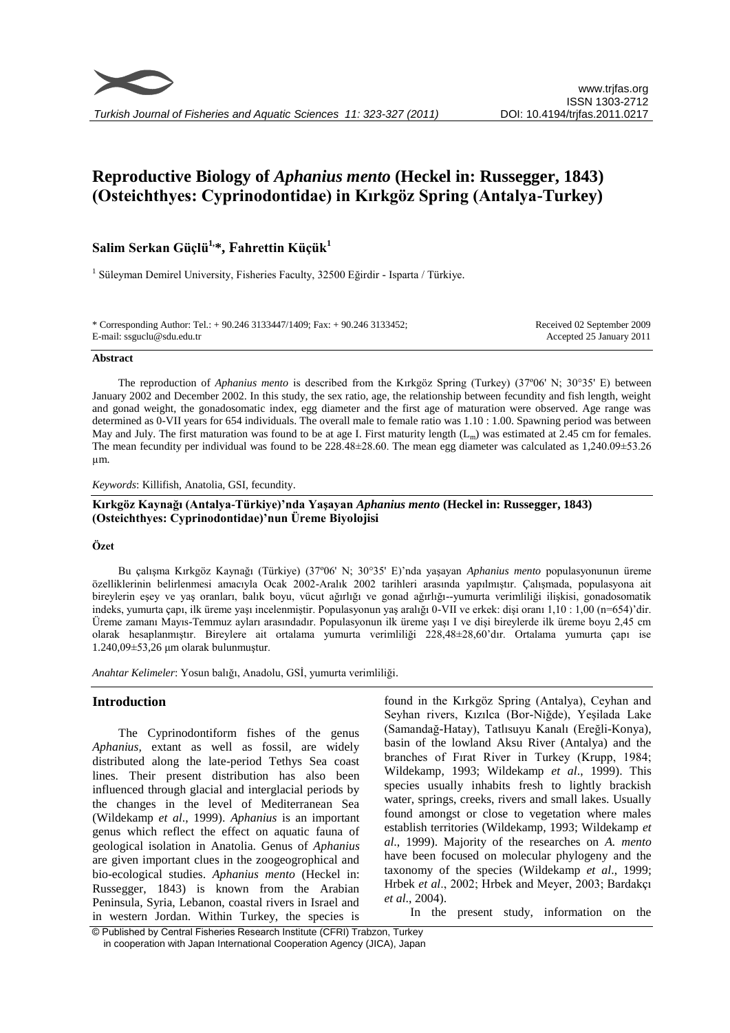

# **Reproductive Biology of** *Aphanius mento* **(Heckel in: Russegger, 1843) (Osteichthyes: Cyprinodontidae) in Kırkgöz Spring (Antalya-Turkey)**

# **Salim Serkan Güçlü1,\*, Fahrettin Küçük<sup>1</sup>**

<sup>1</sup> Süleyman Demirel University, Fisheries Faculty, 32500 Eğirdir - Isparta / Türkiye.

| * Corresponding Author: Tel.: + 90.246 3133447/1409; Fax: + 90.246 3133452; | Received 02 September 2009 |
|-----------------------------------------------------------------------------|----------------------------|
| E-mail: ssguclu@sdu.edu.tr                                                  | Accepted 25 January 2011   |

#### **Abstract**

The reproduction of *Aphanius mento* is described from the Kırkgöz Spring (Turkey) (37º06' N; 30°35' E) between January 2002 and December 2002. In this study, the sex ratio, age, the relationship between fecundity and fish length, weight and gonad weight, the gonadosomatic index, egg diameter and the first age of maturation were observed. Age range was determined as 0-VII years for 654 individuals. The overall male to female ratio was 1.10 : 1.00. Spawning period was between May and July. The first maturation was found to be at age I. First maturity length  $(L_m)$  was estimated at 2.45 cm for females. The mean fecundity per individual was found to be 228.48±28.60. The mean egg diameter was calculated as 1,240.09±53.26 µm.

*Keywords*: Killifish, Anatolia, GSI, fecundity.

# **Kırkgöz Kaynağı (Antalya-Türkiye)'nda Yaşayan** *Aphanius mento* **(Heckel in: Russegger, 1843) (Osteichthyes: Cyprinodontidae)'nun Üreme Biyolojisi**

#### **Özet**

Bu çalışma Kırkgöz Kaynağı (Türkiye) (37º06' N; 30°35' E)'nda yaşayan *Aphanius mento* populasyonunun üreme özelliklerinin belirlenmesi amacıyla Ocak 2002-Aralık 2002 tarihleri arasında yapılmıştır. Çalışmada, populasyona ait bireylerin eşey ve yaş oranları, balık boyu, vücut ağırlığı ve gonad ağırlığı--yumurta verimliliği ilişkisi, gonadosomatik indeks, yumurta çapı, ilk üreme yaşı incelenmiştir. Populasyonun yaş aralığı 0-VII ve erkek: dişi oranı 1,10 : 1,00 (n=654)'dir. Üreme zamanı Mayıs-Temmuz ayları arasındadır. Populasyonun ilk üreme yaşı I ve dişi bireylerde ilk üreme boyu 2,45 cm olarak hesaplanmıştır. Bireylere ait ortalama yumurta verimliliği 228,48±28,60'dır. Ortalama yumurta çapı ise 1.240,09±53,26 μm olarak bulunmuştur.

*Anahtar Kelimeler*: Yosun balığı, Anadolu, GSİ, yumurta verimliliği.

#### **Introduction**

The Cyprinodontiform fishes of the genus *Aphanius,* extant as well as fossil, are widely distributed along the late-period Tethys Sea coast lines. Their present distribution has also been influenced through glacial and interglacial periods by the changes in the level of Mediterranean Sea (Wildekamp *et al*., 1999). *Aphanius* is an important genus which reflect the effect on aquatic fauna of geological isolation in Anatolia. Genus of *Aphanius* are given important clues in the zoogeogrophical and bio-ecological studies. *Aphanius mento* (Heckel in: Russegger, 1843) is known from the Arabian Peninsula, Syria, Lebanon, coastal rivers in Israel and in western Jordan. Within Turkey, the species is

found in the Kırkgöz Spring (Antalya), Ceyhan and Seyhan rivers, Kızılca (Bor-Niğde), Yeşilada Lake (Samandağ-Hatay), Tatlısuyu Kanalı (Ereğli-Konya), basin of the lowland Aksu River (Antalya) and the branches of Fırat River in Turkey (Krupp, 1984; Wildekamp, 1993; Wildekamp *et al*., 1999). This species usually inhabits fresh to lightly brackish water, springs, creeks, rivers and small lakes. Usually found amongst or close to vegetation where males establish territories (Wildekamp, 1993; Wildekamp *et al*., 1999). Majority of the researches on *A. mento* have been focused on molecular phylogeny and the taxonomy of the species (Wildekamp *et al*., 1999; Hrbek *et al*., 2002; Hrbek and Meyer, 2003; Bardakçı *et al*., 2004).

In the present study, information on the

© Published by Central Fisheries Research Institute (CFRI) Trabzon, Turkey in cooperation with Japan International Cooperation Agency (JICA), Japan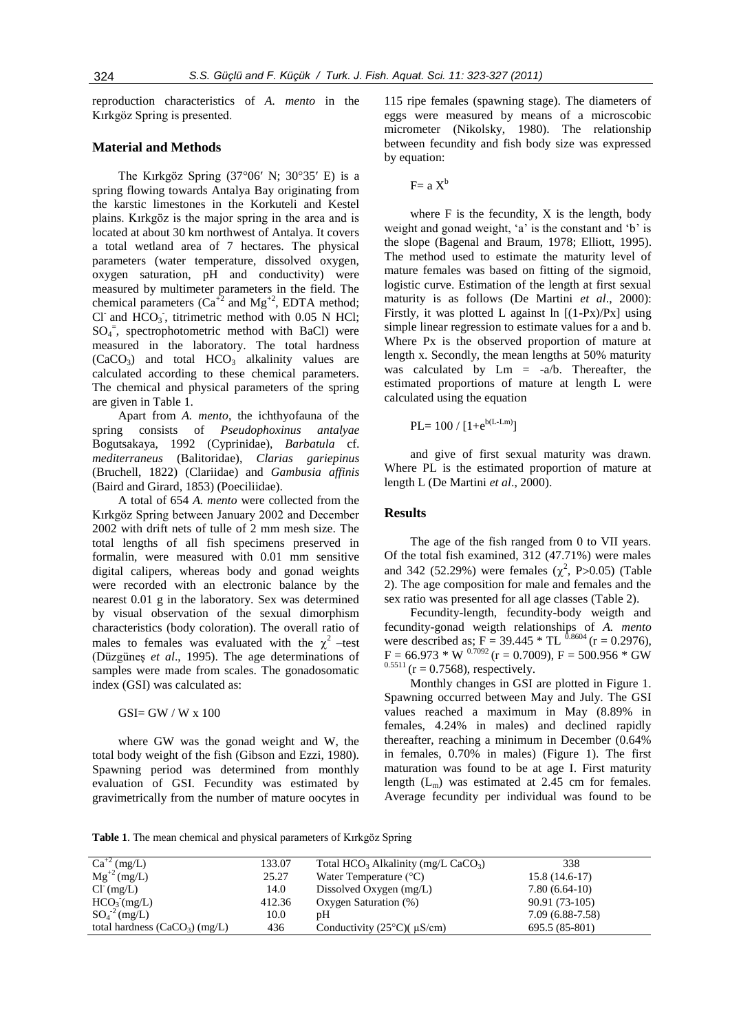reproduction characteristics of *A. mento* in the Kırkgöz Spring is presented.

# **Material and Methods**

The Kırkgöz Spring (37°06′ N; 30°35′ E) is a spring flowing towards Antalya Bay originating from the karstic limestones in the Korkuteli and Kestel plains. Kırkgöz is the major spring in the area and is located at about 30 km northwest of Antalya. It covers a total wetland area of 7 hectares. The physical parameters (water temperature, dissolved oxygen, oxygen saturation, pH and conductivity) were measured by multimeter parameters in the field. The chemical parameters  $(Ca^{\dagger 2}$  and  $Mg^{\dagger 2}$ , EDTA method; Cl<sup>-</sup> and  $\text{HCO}_3$ <sup>-</sup>, titrimetric method with 0.05 N HCl;  $SO_4$ <sup>=</sup>, spectrophotometric method with BaCl) were measured in the laboratory. The total hardness  $(CaCO<sub>3</sub>)$  and total  $HCO<sub>3</sub>$  alkalinity values are calculated according to these chemical parameters. The chemical and physical parameters of the spring are given in Table 1.

Apart from *A. mento*, the ichthyofauna of the spring consists of *Pseudophoxinus antalyae*  Bogutsakaya, 1992 (Cyprinidae), *Barbatula* cf. *mediterraneus* (Balitoridae), *Clarias gariepinus*  (Bruchell, 1822) (Clariidae) and *Gambusia affinis* (Baird and Girard, 1853) (Poeciliidae).

A total of 654 *A. mento* were collected from the Kırkgöz Spring between January 2002 and December 2002 with drift nets of tulle of 2 mm mesh size. The total lengths of all fish specimens preserved in formalin, were measured with 0.01 mm sensitive digital calipers, whereas body and gonad weights were recorded with an electronic balance by the nearest 0.01 g in the laboratory. Sex was determined by visual observation of the sexual dimorphism characteristics (body coloration). The overall ratio of males to females was evaluated with the  $\chi^2$  -test (Düzgüneş *et al*., 1995). The age determinations of samples were made from scales. The gonadosomatic index (GSI) was calculated as:

GSI= GW / W x 100

where GW was the gonad weight and W, the total body weight of the fish (Gibson and Ezzi, 1980). Spawning period was determined from monthly evaluation of GSI. Fecundity was estimated by gravimetrically from the number of mature oocytes in 115 ripe females (spawning stage). The diameters of eggs were measured by means of a microscobic micrometer (Nikolsky, 1980). The relationship between fecundity and fish body size was expressed by equation:

$$
F = a X^b
$$

where  $F$  is the fecundity,  $X$  is the length, body weight and gonad weight, 'a' is the constant and 'b' is the slope (Bagenal and Braum, 1978; Elliott, 1995). The method used to estimate the maturity level of mature females was based on fitting of the sigmoid, logistic curve. Estimation of the length at first sexual maturity is as follows (De Martini *et al*., 2000): Firstly, it was plotted L against  $\ln$  [(1-Px)/Px] using simple linear regression to estimate values for a and b. Where Px is the observed proportion of mature at length x. Secondly, the mean lengths at 50% maturity was calculated by  $Lm = -a/b$ . Thereafter, the estimated proportions of mature at length L were calculated using the equation

$$
PL = 100 / [1 + e^{b(L-Lm)}]
$$

and give of first sexual maturity was drawn. Where PL is the estimated proportion of mature at length L (De Martini *et al*., 2000).

#### **Results**

The age of the fish ranged from 0 to VII years. Of the total fish examined, 312 (47.71%) were males and 342 (52.29%) were females  $(\chi^2, P > 0.05)$  (Table 2). The age composition for male and females and the sex ratio was presented for all age classes (Table 2).

Fecundity-length, fecundity-body weigth and fecundity-gonad weigth relationships of *A. mento* were described as; F = 39.445  $*$  TL  $^{0.8604}$  (r = 0.2976),  $F = 66.973 * W^{0.7092}$  (r = 0.7009), F = 500.956 \* GW  $^{1}$  – 0.6.312<br>  $(r = 0.7568)$ , respectively.

Monthly changes in GSI are plotted in Figure 1. Spawning occurred between May and July. The GSI values reached a maximum in May (8.89% in females, 4.24% in males) and declined rapidly thereafter, reaching a minimum in December (0.64% in females, 0.70% in males) (Figure 1). The first maturation was found to be at age I. First maturity length  $(L_m)$  was estimated at 2.45 cm for females. Average fecundity per individual was found to be

**Table 1**. The mean chemical and physical parameters of Kırkgöz Spring

| $Ca^{+2} (mg/L)$                | 133.07 | Total HCO <sub>3</sub> Alkalinity (mg/L CaCO <sub>3</sub> ) | 338               |
|---------------------------------|--------|-------------------------------------------------------------|-------------------|
| $Mg^{+2} (mg/L)$                | 25.27  | Water Temperature $(^{\circ}C)$                             | $15.8(14.6-17)$   |
| $Cl^{(mg/L)}$                   | 14.0   | Dissolved Oxygen $(mg/L)$                                   | $7.80(6.64-10)$   |
| HCO <sub>3</sub> (mg/L)         | 412.36 | Oxygen Saturation (%)                                       | 90.91 (73-105)    |
| $SO_4^{\text{-2}}$ (mg/L)       | 10.0   | pΗ                                                          | $7.09(6.88-7.58)$ |
| total hardness $(CaCO3) (mg/L)$ | 436    | Conductivity $(25^{\circ}C)(\mu S/cm)$                      | 695.5 (85-801)    |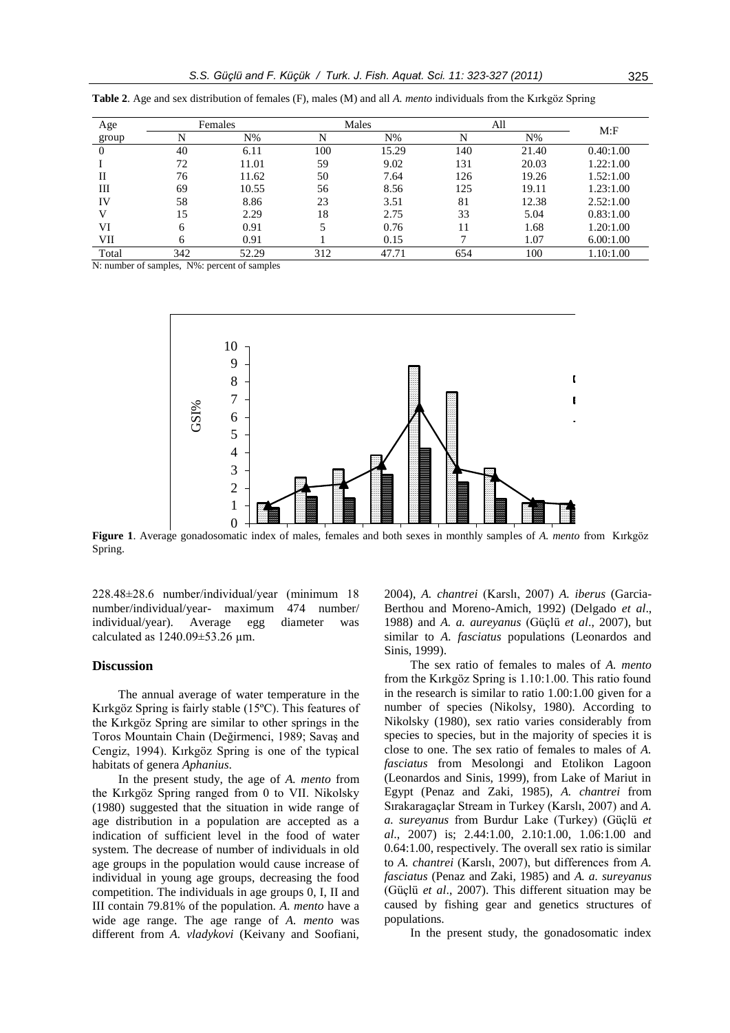| Age      | Females |       | Males |       | All |       | M: F      |
|----------|---------|-------|-------|-------|-----|-------|-----------|
| group    |         | $N\%$ | N     | $N\%$ | N   | $N\%$ |           |
| $\theta$ | 40      | 6.11  | 100   | 15.29 | 140 | 21.40 | 0.40:1.00 |
|          | 72      | 11.01 | 59    | 9.02  | 131 | 20.03 | 1.22:1.00 |
| П        | 76      | 11.62 | 50    | 7.64  | 126 | 19.26 | 1.52:1.00 |
| Ш        | 69      | 10.55 | 56    | 8.56  | 125 | 19.11 | 1.23:1.00 |
| IV       | 58      | 8.86  | 23    | 3.51  | 81  | 12.38 | 2.52:1.00 |
|          | 15      | 2.29  | 18    | 2.75  | 33  | 5.04  | 0.83:1.00 |
| VI       | 6       | 0.91  |       | 0.76  | 11  | 1.68  | 1.20:1.00 |
| VII      | h       | 0.91  |       | 0.15  |     | 1.07  | 6.00:1.00 |
| Total    | 342     | 52.29 | 312   | 47.71 | 654 | 100   | 1.10:1.00 |

**Table 2**. Age and sex distribution of females (F), males (M) and all *A. mento* individuals from the Kırkgöz Spring

N: number of samples, N%: percent of samples



**Figure 1**. Average gonadosomatic index of males, females and both sexes in monthly samples of *A. mento* from Kırkgöz Spring. Spring.

228.48±28.6 number/individual/year (minimum 18 number/individual/year- maximum 474 number/ individual/year). Average egg diameter was calculated as  $1240.09 \pm 53.26$  µm.

#### **Discussion**

The annual average of water temperature in the Kırkgöz Spring is fairly stable (15ºC). This features of the Kırkgöz Spring are similar to other springs in the Toros Mountain Chain (Değirmenci, 1989; Savaş and Cengiz, 1994). Kırkgöz Spring is one of the typical habitats of genera *Aphanius*.

In the present study, the age of *A. mento* from the Kırkgöz Spring ranged from 0 to VII. Nikolsky (1980) suggested that the situation in wide range of age distribution in a population are accepted as a indication of sufficient level in the food of water system. The decrease of number of individuals in old age groups in the population would cause increase of individual in young age groups, decreasing the food competition. The individuals in age groups 0, I, II and III contain 79.81% of the population. *A. mento* have a wide age range. The age range of *A. mento* was different from *A. vladykovi* (Keivany and Soofiani, 2004), *A. chantrei* (Karslı, 2007) *A. iberus* (Garcia-Berthou and Moreno-Amich, 1992) (Delgado *et al*., 1988) and *A. a. aureyanus* (Güçlü *et al*., 2007), but similar to *A. fasciatus* populations (Leonardos and Sinis, 1999).

The sex ratio of females to males of *A. mento* from the Kırkgöz Spring is 1.10:1.00. This ratio found in the research is similar to ratio 1.00:1.00 given for a number of species (Nikolsy, 1980). According to Nikolsky (1980), sex ratio varies considerably from species to species, but in the majority of species it is close to one. The sex ratio of females to males of *A. fasciatus* from Mesolongi and Etolikon Lagoon (Leonardos and Sinis, 1999), from Lake of Mariut in Egypt (Penaz and Zaki, 1985), *A. chantrei* from Sırakaragaçlar Stream in Turkey (Karslı, 2007) and *A. a. sureyanus* from Burdur Lake (Turkey) (Güçlü *et al*., 2007) is; 2.44:1.00, 2.10:1.00, 1.06:1.00 and 0.64:1.00, respectively. The overall sex ratio is similar to *A. chantrei* (Karslı, 2007), but differences from *A. fasciatus* (Penaz and Zaki, 1985) and *A. a. sureyanus* (Güçlü *et al*., 2007). This different situation may be caused by fishing gear and genetics structures of populations.

In the present study, the gonadosomatic index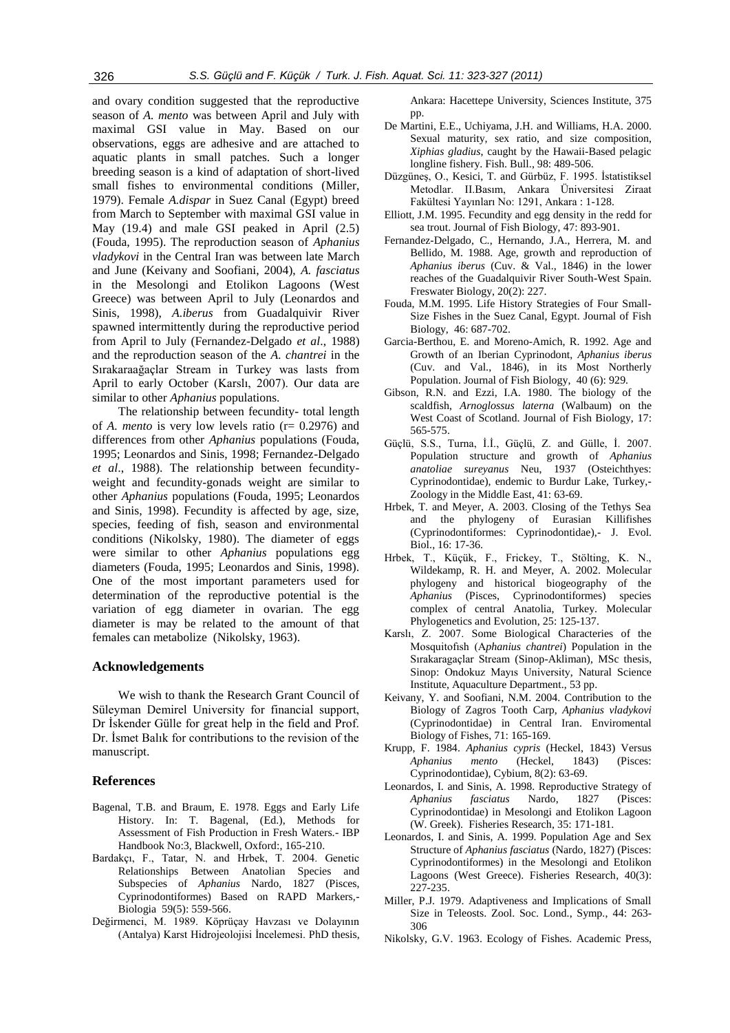and ovary condition suggested that the reproductive season of *A. mento* was between April and July with maximal GSI value in May. Based on our observations, eggs are adhesive and are attached to aquatic plants in small patches. Such a longer breeding season is a kind of adaptation of short-lived small fishes to environmental conditions (Miller, 1979). Female *A.dispar* in Suez Canal (Egypt) breed from March to September with maximal GSI value in May (19.4) and male GSI peaked in April (2.5) (Fouda, 1995). The reproduction season of *Aphanius vladykovi* in the Central Iran was between late March and June (Keivany and Soofiani, 2004), *A. fasciatus*  in the Mesolongi and Etolikon Lagoons (West Greece) was between April to July (Leonardos and Sinis, 1998), *A.iberus* from Guadalquivir River spawned intermittently during the reproductive period from April to July (Fernandez-Delgado *et al*., 1988) and the reproduction season of the *A. chantrei* in the Sırakaraağaçlar Stream in Turkey was lasts from April to early October (Karslı, 2007). Our data are similar to other *Aphanius* populations.

The relationship between fecundity- total length of *A. mento* is very low levels ratio (r= 0.2976) and differences from other *Aphanius* populations (Fouda, 1995; Leonardos and Sinis, 1998; Fernandez-Delgado *et al*., 1988). The relationship between fecundityweight and fecundity-gonads weight are similar to other *Aphanius* populations (Fouda, 1995; Leonardos and Sinis, 1998). Fecundity is affected by age, size, species, feeding of fish, season and environmental conditions (Nikolsky, 1980). The diameter of eggs were similar to other *Aphanius* populations egg diameters (Fouda, 1995; Leonardos and Sinis, 1998). One of the most important parameters used for determination of the reproductive potential is the variation of egg diameter in ovarian. The egg diameter is may be related to the amount of that females can metabolize (Nikolsky, 1963).

# **Acknowledgements**

We wish to thank the Research Grant Council of Süleyman Demirel University for financial support, Dr İskender Gülle for great help in the field and Prof. Dr. İsmet Balık for contributions to the revision of the manuscript.

# **References**

- Bagenal, T.B. and Braum, E. 1978. Eggs and Early Life History. In: T. Bagenal, (Ed.), Methods for Assessment of Fish Production in Fresh Waters.- IBP Handbook No:3, Blackwell, Oxford:, 165-210.
- Bardakçı, F., Tatar, N. and Hrbek, T. 2004. Genetic Relationships Between Anatolian Species and Subspecies of *Aphanius* Nardo, 1827 (Pisces, Cyprinodontiformes) Based on RAPD Markers,- Biologia 59(5): 559-566.
- Değirmenci, M. 1989. Köprüçay Havzası ve Dolayının (Antalya) Karst Hidrojeolojisi İncelemesi. PhD thesis,

Ankara: Hacettepe University, Sciences Institute, 375 pp.

- De Martini, E.E., Uchiyama, J.H. and Williams, H.A. 2000. Sexual maturity, sex ratio, and size composition, *Xiphias gladius*, caught by the Hawaii-Based pelagic longline fishery. Fish. Bull., 98: 489-506.
- Düzgüneş, O., Kesici, T. and Gürbüz, F. 1995. İstatistiksel Metodlar. II.Basım, Ankara Üniversitesi Ziraat Fakültesi Yayınları No: 1291, Ankara : 1-128.
- Elliott, J.M. 1995. Fecundity and egg density in the redd for sea trout. Journal of Fish Biology, 47: 893-901.
- Fernandez-Delgado, C., Hernando, J.A., Herrera, M. and Bellido, M. 1988. Age, growth and reproduction of *Aphanius iberus* (Cuv. & Val., 1846) in the lower reaches of the Guadalquivir River South-West Spain. Freswater Biology, 20(2): 227.
- Fouda, M.M. 1995. Life History Strategies of Four Small-Size Fishes in the Suez Canal, Egypt. Journal of Fish Biology, 46: 687-702.
- Garcia-Berthou, E. and Moreno-Amich, R. 1992. Age and Growth of an Iberian Cyprinodont, *Aphanius iberus* (Cuv. and Val., 1846), in its Most Northerly Population. Journal of Fish Biology, 40 (6): 929.
- Gibson, R.N. and Ezzi, I.A. 1980. The biology of the scaldfish, *Arnoglossus laterna* (Walbaum) on the West Coast of Scotland. Journal of Fish Biology, 17: 565-575.
- Güçlü, S.S., Turna, İ.İ., Güçlü, Z. and Gülle, İ. 2007. Population structure and growth of *Aphanius anatoliae sureyanus* Neu, 1937 (Osteichthyes: Cyprinodontidae), endemic to Burdur Lake, Turkey,- Zoology in the Middle East, 41: 63-69.
- Hrbek, T. and Meyer, A. 2003. Closing of the Tethys Sea and the phylogeny of Eurasian Killifishes (Cyprinodontiformes: Cyprinodontidae),- J. Evol. Biol., 16: 17-36.
- Hrbek, T., Küçük, F., Frickey, T., Stölting, K. N., Wildekamp, R. H. and Meyer, A. 2002. Molecular phylogeny and historical biogeography of the *Aphanius* (Pisces, Cyprinodontiformes) species complex of central Anatolia, Turkey. Molecular Phylogenetics and Evolution, 25: 125-137.
- Karslı, Z. 2007. Some Biological Characteries of the Mosquitofısh (A*phanius chantrei*) Population in the Sırakaragaçlar Stream (Sinop-Akliman), MSc thesis, Sinop: Ondokuz Mayıs University, Natural Science Institute, Aquaculture Department., 53 pp.
- Keivany, Y. and Soofiani, N.M. 2004. Contribution to the Biology of Zagros Tooth Carp, *Aphanius vladykovi* (Cyprinodontidae) in Central Iran. Enviromental Biology of Fishes, 71: 165-169.
- Krupp, F. 1984. *Aphanius cypris* (Heckel, 1843) Versus *Aphanius mento* (Heckel, 1843) (Pisces: Cyprinodontidae), Cybium, 8(2): 63-69.
- Leonardos, I. and Sinis, A. 1998. Reproductive Strategy of *Aphanius fasciatus* Nardo, 1827 (Pisces: Cyprinodontidae) in Mesolongi and Etolikon Lagoon (W. Greek). Fisheries Research, 35: 171-181.
- Leonardos, I. and Sinis, A. 1999. Population Age and Sex Structure of *Aphanius fasciatus* (Nardo, 1827) (Pisces: Cyprinodontiformes) in the Mesolongi and Etolikon Lagoons (West Greece). Fisheries Research, 40(3): 227-235.
- Miller, P.J. 1979. Adaptiveness and Implications of Small Size in Teleosts. Zool. Soc. Lond., Symp., 44: 263- 306
- Nikolsky, G.V. 1963. Ecology of Fishes. Academic Press,